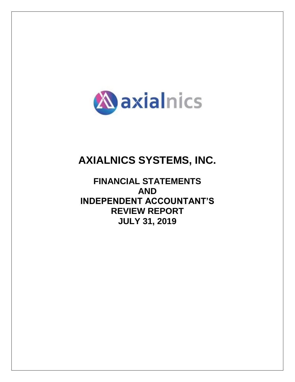

# **AXIALNICS SYSTEMS, INC.**

**FINANCIAL STATEMENTS AND INDEPENDENT ACCOUNTANT'S REVIEW REPORT JULY 31, 2019**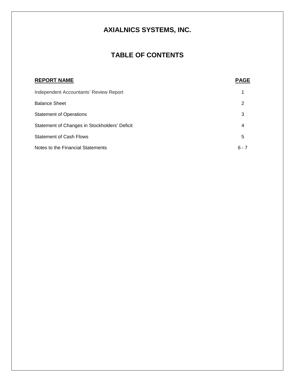# **AXIALNICS SYSTEMS, INC.**

# **TABLE OF CONTENTS**

| <b>REPORT NAME</b>                            | <b>PAGE</b> |
|-----------------------------------------------|-------------|
| Independent Accountants' Review Report        |             |
| <b>Balance Sheet</b>                          | 2           |
| <b>Statement of Operations</b>                | 3           |
| Statement of Changes in Stockholders' Deficit | 4           |
| <b>Statement of Cash Flows</b>                | 5           |
| Notes to the Financial Statements             | $6 - 7$     |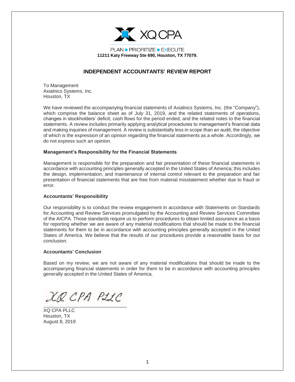

# **INDEPENDENT ACCOUNTANTS' REVIEW REPORT**

To Management Axialnics Systems, Inc. Houston, TX

We have reviewed the accompanying financial statements of Axialnics Systems, Inc. (the "Company"), which comprise the balance sheet as of July 31, 2019, and the related statements of operations, changes in stockholders' deficit, cash flows for the period ended, and the related notes to the financial statements. A review includes primarily applying analytical procedures to management's financial data and making inquiries of management. A review is substantially less in scope than an audit, the objective of which is the expression of an opinion regarding the financial statements as a whole. Accordingly, we do not express such an opinion.

#### **Management's Responsibility for the Financial Statements**

Management is responsible for the preparation and fair presentation of these financial statements in accordance with accounting principles generally accepted in the United States of America; this includes the design, implementation, and maintenance of internal control relevant to the preparation and fair presentation of financial statements that are free from material misstatement whether due to fraud or error.

#### **Accountants' Responsibility**

Our responsibility is to conduct the review engagement in accordance with Statements on Standards for Accounting and Review Services promulgated by the Accounting and Review Services Committee of the AICPA. Those standards require us to perform procedures to obtain limited assurance as a basis for reporting whether we are aware of any material modifications that should be made to the financial statements for them to be in accordance with accounting principles generally accepted in the United States of America. We believe that the results of our procedures provide a reasonable basis for our conclusion.

#### **Accountants' Conclusion**

Based on my review, we are not aware of any material modifications that should be made to the accompanying financial statements in order for them to be in accordance with accounting principles generally accepted in the United States of America.

XQ CPA PLLC

XQ CPA PLLC Houston, TX August 8, 2019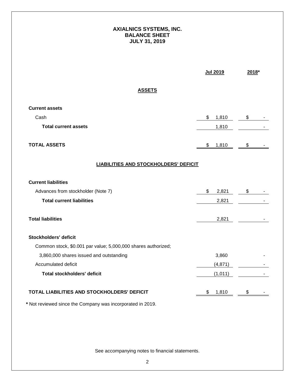# **AXIALNICS SYSTEMS, INC. BALANCE SHEET JULY 31, 2019**

|                                                               | <b>Jul 2019</b> | 2018* |
|---------------------------------------------------------------|-----------------|-------|
| <b>ASSETS</b>                                                 |                 |       |
| <b>Current assets</b>                                         |                 |       |
| Cash                                                          | \$<br>1,810     | \$    |
| <b>Total current assets</b>                                   | 1,810           |       |
| <b>TOTAL ASSETS</b>                                           | 1,810<br>\$     | \$    |
| <b>LIABILITIES AND STOCKHOLDERS' DEFICIT</b>                  |                 |       |
| <b>Current liabilities</b>                                    |                 |       |
| Advances from stockholder (Note 7)                            | \$<br>2,821     | \$    |
| <b>Total current liabilities</b>                              | 2,821           |       |
| <b>Total liabilities</b>                                      | 2,821           |       |
| Stockholders' deficit                                         |                 |       |
| Common stock, \$0.001 par value; 5,000,000 shares authorized; |                 |       |
| 3,860,000 shares issued and outstanding                       | 3,860           |       |
| Accumulated deficit                                           | (4, 871)        |       |
| <b>Total stockholders' deficit</b>                            | (1,011)         |       |
| TOTAL LIABILITIES AND STOCKHOLDERS' DEFICIT                   | 1,810<br>\$     | \$    |

**\*** Not reviewed since the Company was incorporated in 2019.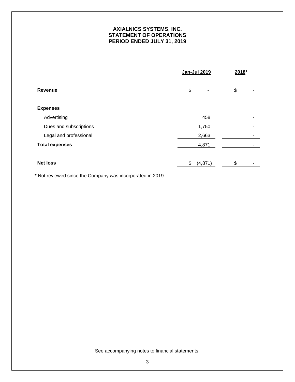# **AXIALNICS SYSTEMS, INC. STATEMENT OF OPERATIONS PERIOD ENDED JULY 31, 2019**

|                        | <b>Jan-Jul 2019</b> |         | 2018* |   |
|------------------------|---------------------|---------|-------|---|
| <b>Revenue</b>         | \$                  | ٠       | \$    |   |
| <b>Expenses</b>        |                     |         |       |   |
| Advertising            |                     | 458     |       |   |
| Dues and subscriptions |                     | 1,750   |       |   |
| Legal and professional |                     | 2,663   |       |   |
| <b>Total expenses</b>  |                     | 4,871   |       | ۰ |
| <b>Net loss</b>        | \$                  | (4,871) | \$    |   |

**\*** Not reviewed since the Company was incorporated in 2019.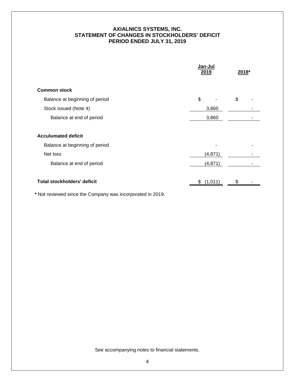### **AXIALNICS SYSTEMS, INC. STATEMENT OF CHANGES IN STOCKHOLDERS' DEFICIT PERIOD ENDED JULY 31, 2019**

|                                                                          | Jan-Jul<br>2019          | $2018*$ |
|--------------------------------------------------------------------------|--------------------------|---------|
| <b>Common stock</b>                                                      |                          |         |
| Balance at beginning of period                                           | \$                       | \$      |
| Stock issued (Note 4)                                                    | 3,860                    |         |
| Balance at end of period                                                 | 3,860                    |         |
| <b>Acculumated deficit</b><br>Balance at beginning of period<br>Net loss | (4, 871)                 |         |
| Balance at end of period<br>Total stockholders' deficit                  | (4, 871)<br>(1,011)<br>S |         |

**\*** Not reviewed since the Company was incorporated in 2019.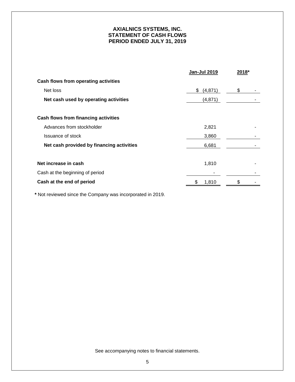### **AXIALNICS SYSTEMS, INC. STATEMENT OF CASH FLOWS PERIOD ENDED JULY 31, 2019**

|                                           | <b>Jan-Jul 2019</b> | 2018* |
|-------------------------------------------|---------------------|-------|
| Cash flows from operating activities      |                     |       |
| Net loss                                  | (4,871)<br>\$       | \$    |
| Net cash used by operating activities     | (4, 871)            |       |
|                                           |                     |       |
| Cash flows from financing activities      |                     |       |
| Advances from stockholder                 | 2,821               |       |
| Issuance of stock                         | 3,860               |       |
| Net cash provided by financing activities | 6,681               |       |
|                                           |                     |       |
| Net increase in cash                      | 1,810               |       |
| Cash at the beginning of period           |                     |       |
| Cash at the end of period                 | 1,810               |       |
|                                           |                     |       |

**\*** Not reviewed since the Company was incorporated in 2019.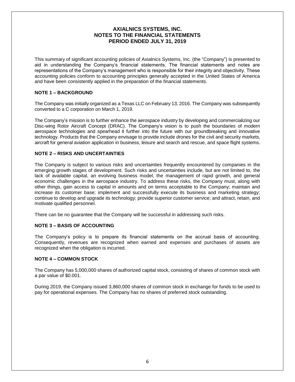# **AXIALNICS SYSTEMS, INC. NOTES TO THE FINANCIAL STATEMENTS PERIOD ENDED JULY 31, 2019**

This summary of significant accounting policies of Axialnics Systems, Inc. (the "Company") is presented to aid in understanding the Company's financial statements. The financial statements and notes are representations of the Company's management who is responsible for their integrity and objectivity. These accounting policies conform to accounting principles generally accepted in the United States of America and have been consistently applied in the preparation of the financial statements.

#### **NOTE 1 – BACKGROUND**

The Company was initially organized as a Texas LLC on February 13, 2016. The Company was subsequently converted to a C corporation on March 1, 2019.

The Company's mission is to further enhance the aerospace industry by developing and commercializing our Disc-wing Rotor Aircraft Concept (DRAC). The Company's vision is to push the boundaries of modern aerospace technologies and spearhead it further into the future with our groundbreaking and innovative technology. Products that the Company envisage to provide include drones for the civil and security markets, aircraft for general aviation application in business, leisure and search and rescue, and space flight systems.

#### **NOTE 2 – RISKS AND UNCERTAINTIES**

The Company is subject to various risks and uncertainties frequently encountered by companies in the emerging growth stages of development. Such risks and uncertainties include, but are not limited to, the lack of available capital, an evolving business model, the management of rapid growth, and general economic challenges in the aerospace industry. To address these risks, the Company must, along with other things, gain access to capital in amounts and on terms acceptable to the Company; maintain and increase its customer base; implement and successfully execute its business and marketing strategy; continue to develop and upgrade its technology; provide superior customer service; and attract, retain, and motivate qualified personnel.

There can be no guarantee that the Company will be successful in addressing such risks.

#### **NOTE 3 – BASIS OF ACCOUNTING**

The Company's policy is to prepare its financial statements on the accrual basis of accounting. Consequently, revenues are recognized when earned and expenses and purchases of assets are recognized when the obligation is incurred.

#### **NOTE 4 – COMMON STOCK**

The Company has 5,000,000 shares of authorized capital stock, consisting of shares of common stock with a par value of \$0.001.

During 2019, the Company issued 3,860,000 shares of common stock in exchange for funds to be used to pay for operational expenses. The Company has no shares of preferred stock outstanding.